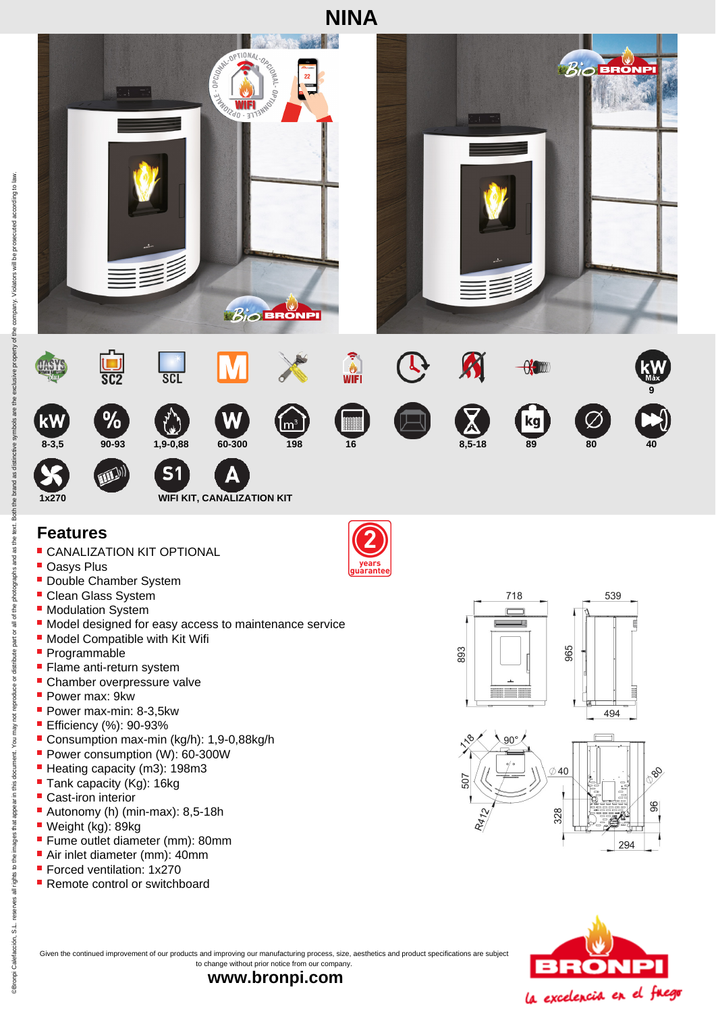

## **Features**

- **CANALIZATION KIT OPTIONAL**
- **Oasys Plus**
- **Double Chamber System**
- **Clean Glass System**
- **Modulation System**
- $\blacksquare$  Model designed for easy access to maintenance service
- **Model Compatible with Kit Wifi**
- Programmable
- **Flame anti-return system**
- **Chamber overpressure valve**
- Power max: 9kw
- Power max-min: 8-3,5kw
- **Efficiency (%): 90-93%**
- Consumption max-min (kg/h): 1,9-0,88kg/h
- Power consumption (W): 60-300W
- Heating capacity (m3): 198m3
- Tank capacity (Kg): 16kg
- Cast-iron interior
- Autonomy (h) (min-max): 8,5-18h
- Weight (kg): 89kg
- **Fume outlet diameter (mm): 80mm**
- Air inlet diameter (mm): 40mm
- **Forced ventilation: 1x270**
- **Remote control or switchboard**









Given the continued improvement of our products and improving our manufacturing process, size, aesthetics and product specifications are subject to change without prior notice from our company.

**www.bronpi.com**